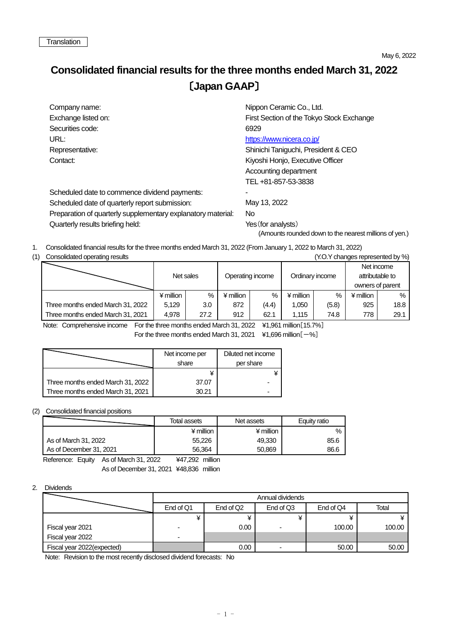## **Consolidated financial results for the three months ended March 31, 2022** 〔**Japan GAAP**〕

| Company name:                                                | Nippon Ceramic Co., Ltd.                               |  |  |  |  |
|--------------------------------------------------------------|--------------------------------------------------------|--|--|--|--|
| Exchange listed on:                                          | First Section of the Tokyo Stock Exchange              |  |  |  |  |
| Securities code:                                             | 6929                                                   |  |  |  |  |
| URL:                                                         | https://www.nicera.co.jp/                              |  |  |  |  |
| Representative:                                              | Shinichi Taniguchi, President & CEO                    |  |  |  |  |
| Contact:                                                     | Kiyoshi Honjo, Executive Officer                       |  |  |  |  |
|                                                              | Accounting department                                  |  |  |  |  |
|                                                              | TEL+81-857-53-3838                                     |  |  |  |  |
| Scheduled date to commence dividend payments:                |                                                        |  |  |  |  |
| Scheduled date of quarterly report submission:               | May 13, 2022                                           |  |  |  |  |
| Preparation of quarterly supplementary explanatory material: | No.                                                    |  |  |  |  |
| Quarterly results briefing held:                             | Yes (for analysts)                                     |  |  |  |  |
|                                                              | (Amounts rounded down to the nearest millions of yen.) |  |  |  |  |

1. Consolidated financial results for the three months ended March 31, 2022 (From January 1, 2022 to March 31, 2022)

| (1) | Consolidated operating results<br>(Y.O.Y changes represented by %) |             |      |                  |       |                 |       |                                                   |      |  |
|-----|--------------------------------------------------------------------|-------------|------|------------------|-------|-----------------|-------|---------------------------------------------------|------|--|
|     |                                                                    | Net sales   |      | Operating income |       | Ordinary income |       | Net income<br>attributable to<br>owners of parent |      |  |
|     |                                                                    | $*$ million | $\%$ | ¥ million        | $\%$  | $4$ million     | $\%$  | $4$ million                                       | %    |  |
|     | Three months ended March 31, 2022                                  | 5.129       | 3.0  | 872              | (4.4) | 1,050           | (5.8) | 925                                               | 18.8 |  |
|     | Three months ended March 31, 2021                                  | 4.978       | 27.2 | 912              | 62.1  | 1.115           | 74.8  | 778                                               | 29.1 |  |

Note: Comprehensive income For the three months ended March 31, 2022 ¥1,961 million[15.7%] For the three months ended March 31, 2021  $\div$  41,696 million  $[-\%]$ 

|                                   | Net income per<br>share | Diluted net income<br>per share |  |  |
|-----------------------------------|-------------------------|---------------------------------|--|--|
|                                   |                         |                                 |  |  |
| Three months ended March 31, 2022 | 37.07                   |                                 |  |  |
| Three months ended March 31, 2021 | 30.21                   |                                 |  |  |

## (2) Consolidated financial positions

|                         | Total assets | Net assets  | Equity ratio |
|-------------------------|--------------|-------------|--------------|
|                         | ¥ million    | $*$ million | %            |
| As of March 31, 2022    | 55.226       | 49.330      | 85.6         |
| As of December 31, 2021 | 56.364       | 50.869      | 86.6         |

Reference: Equity As of March 31, 2022 ¥47,292 million As of December 31, 2021 ¥48,836 million

## 2. Dividends

|                            | Annual dividends |                       |                          |           |        |  |  |
|----------------------------|------------------|-----------------------|--------------------------|-----------|--------|--|--|
|                            | End of Q1        | End of Q <sub>2</sub> | End of Q3                | End of Q4 | Total  |  |  |
|                            |                  |                       |                          |           |        |  |  |
| Fiscal year 2021           |                  | 0.00 <sub>1</sub>     |                          | 100.00    | 100.00 |  |  |
| Fiscal year 2022           |                  |                       |                          |           |        |  |  |
| Fiscal year 2022(expected) |                  | 0.00                  | $\overline{\phantom{a}}$ | 50.00     | 50.00  |  |  |

Note: Revision to the most recently disclosed dividend forecasts: No